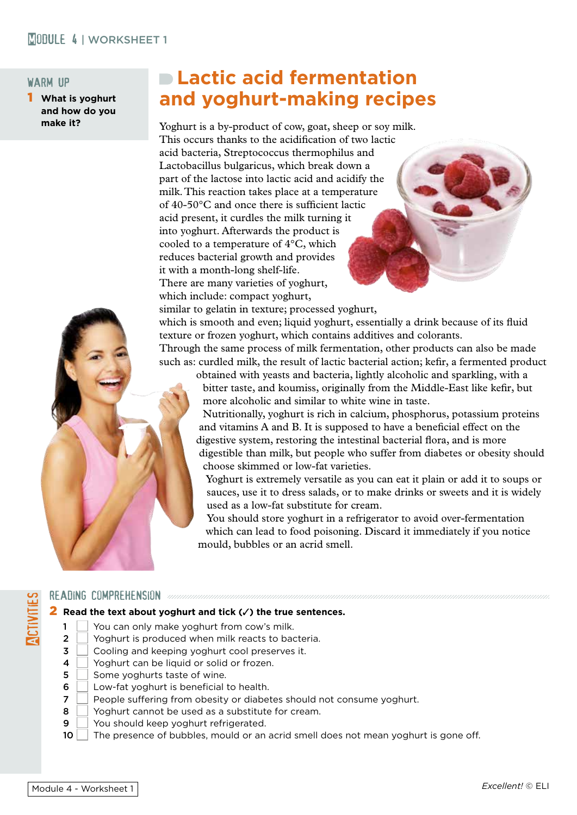## **MODULE 4 | WORKSHEET 1**

#### warm up

1 **What is yoghurt and how do you make it?**

# **Lactic acid fermentation and yoghurt-making recipes**

Yoghurt is a by-product of cow, goat, sheep or soy milk. This occurs thanks to the acidification of two lactic acid bacteria, Streptococcus thermophilus and Lactobacillus bulgaricus, which break down a part of the lactose into lactic acid and acidify the milk. This reaction takes place at a temperature of 40-50°C and once there is sufficient lactic acid present, it curdles the milk turning it into yoghurt. Afterwards the product is cooled to a temperature of 4°C, which reduces bacterial growth and provides it with a month-long shelf-life. There are many varieties of yoghurt, which include: compact yoghurt,

similar to gelatin in texture; processed yoghurt, which is smooth and even; liquid yoghurt, essentially a drink because of its fluid texture or frozen yoghurt, which contains additives and colorants. Through the same process of milk fermentation, other products can also be made such as: curdled milk, the result of lactic bacterial action; kefir, a fermented product

obtained with yeasts and bacteria, lightly alcoholic and sparkling, with a bitter taste, and koumiss, originally from the Middle-East like kefir, but more alcoholic and similar to white wine in taste.

Nutritionally, yoghurt is rich in calcium, phosphorus, potassium proteins and vitamins A and B. It is supposed to have a beneficial effect on the digestive system, restoring the intestinal bacterial flora, and is more digestible than milk, but people who suffer from diabetes or obesity should choose skimmed or low-fat varieties.

Yoghurt is extremely versatile as you can eat it plain or add it to soups or sauces, use it to dress salads, or to make drinks or sweets and it is widely used as a low-fat substitute for cream.

You should store yoghurt in a refrigerator to avoid over-fermentation which can lead to food poisoning. Discard it immediately if you notice mould, bubbles or an acrid smell.

#### READING COMPREHENSION annonymonomonomonomonomonomon

#### **2** Read the text about yoghurt and tick (√) the true sentences.

- $1$  | You can only make yoghurt from cow's milk.
- 2  $\Box$  Yoghurt is produced when milk reacts to bacteria.<br>3  $\Box$  Cooling and keeping voghurt cool preserves it.
	- Cooling and keeping yoghurt cool preserves it.
- 4  $\Box$  Yoghurt can be liquid or solid or frozen.<br>5  $\Box$  Some voghurts taste of wine
- Some yoghurts taste of wine.
- $6 \mid$  Low-fat yoghurt is beneficial to health.
- 7 People suffering from obesity or diabetes should not consume yoghurt.
- $8$  | Yoghurt cannot be used as a substitute for cream.
- $9$   $\sqrt{ }$  You should keep yoghurt refrigerated.
- 10 The presence of bubbles, mould or an acrid smell does not mean yoghurt is gone off.